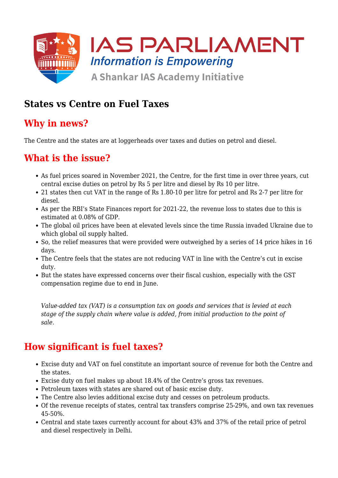

### **States vs Centre on Fuel Taxes**

### **Why in news?**

The Centre and the states are at loggerheads over taxes and duties on petrol and diesel.

## **What is the issue?**

- As fuel prices soared in November 2021, the Centre, for the first time in over three years, cut central excise duties on petrol by Rs 5 per litre and diesel by Rs 10 per litre.
- 21 states then cut VAT in the range of Rs 1.80-10 per litre for petrol and Rs 2-7 per litre for diesel.
- As per the RBI's State Finances report for 2021-22, the revenue loss to states due to this is estimated at 0.08% of GDP.
- The global oil prices have been at elevated levels since the time Russia invaded Ukraine due to which global oil supply halted.
- So, the relief measures that were provided were outweighed by a series of 14 price hikes in 16 days.
- The Centre feels that the states are not reducing VAT in line with the Centre's cut in excise duty.
- But the states have expressed concerns over their fiscal cushion, especially with the GST compensation regime due to end in June.

*Value-added tax (VAT) is a consumption tax on goods and services that is levied at each stage of the supply chain where value is added, from initial production to the point of sale.*

## **How significant is fuel taxes?**

- Excise duty and VAT on fuel constitute an important source of revenue for both the Centre and the states.
- Excise duty on fuel makes up about 18.4% of the Centre's gross tax revenues.
- Petroleum taxes with states are shared out of basic excise duty.
- The Centre also levies additional excise duty and cesses on petroleum products.
- Of the revenue receipts of states, central tax transfers comprise 25-29%, and own tax revenues 45-50%.
- Central and state taxes currently account for about 43% and 37% of the retail price of petrol and diesel respectively in Delhi.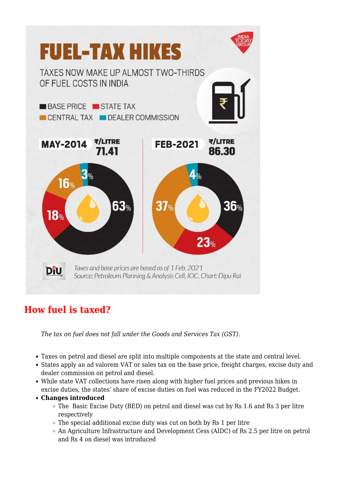

# **How fuel is taxed?**

*The tax on fuel does not fall under the Goods and Services Tax (GST).*

- Taxes on petrol and diesel are split into multiple components at the state and central level.
- States apply an ad valorem VAT or sales tax on the base price, freight charges, excise duty and dealer commission on petrol and diesel.
- While state VAT collections have risen along with higher fuel prices and previous hikes in excise duties, the states' share of excise duties on fuel was reduced in the FY2022 Budget.
- **Changes introduced**
	- The Basic Excise Duty (BED) on petrol and diesel was cut by Rs 1.6 and Rs 3 per litre respectively
	- $\circ$  The special additional excise duty was cut on both by Rs 1 per litre
	- An Agriculture Infrastructure and Development Cess (AIDC) of Rs 2.5 per litre on petrol and Rs 4 on diesel was introduced